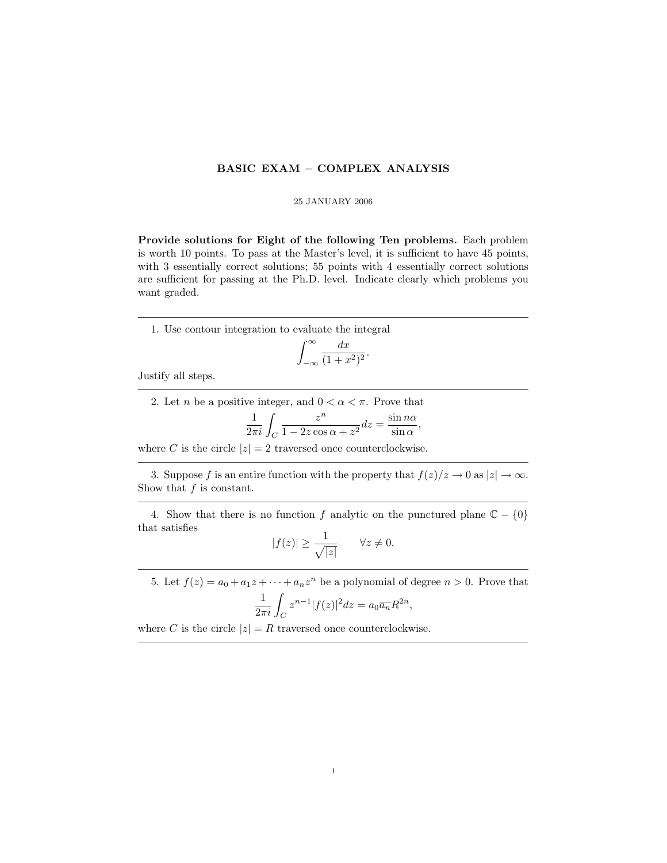## BASIC EXAM – COMPLEX ANALYSIS

## 25 JANUARY 2006

Provide solutions for Eight of the following Ten problems. Each problem is worth 10 points. To pass at the Master's level, it is sufficient to have 45 points, with 3 essentially correct solutions; 55 points with 4 essentially correct solutions are sufficient for passing at the Ph.D. level. Indicate clearly which problems you want graded.

1. Use contour integration to evaluate the integral

$$
\int_{-\infty}^{\infty} \frac{dx}{(1+x^2)^2}.
$$

Justify all steps.

2. Let *n* be a positive integer, and  $0 < \alpha < \pi$ . Prove that

$$
\frac{1}{2\pi i}\int_C \frac{z^n}{1-2z\cos\alpha+z^2}dz=\frac{\sin n\alpha}{\sin\alpha},
$$

where C is the circle  $|z| = 2$  traversed once counterclockwise.

3. Suppose f is an entire function with the property that  $f(z)/z \to 0$  as  $|z| \to \infty$ . Show that  $f$  is constant.

4. Show that there is no function f analytic on the punctured plane  $\mathbb{C} - \{0\}$ that satisfies

$$
|f(z)| \ge \frac{1}{\sqrt{|z|}} \qquad \forall z \neq 0.
$$

5. Let  $f(z) = a_0 + a_1 z + \cdots + a_n z^n$  be a polynomial of degree  $n > 0$ . Prove that

$$
\frac{1}{2\pi i} \int_C z^{n-1} |f(z)|^2 dz = a_0 \overline{a_n} R^{2n},
$$

where C is the circle  $|z| = R$  traversed once counterclockwise.